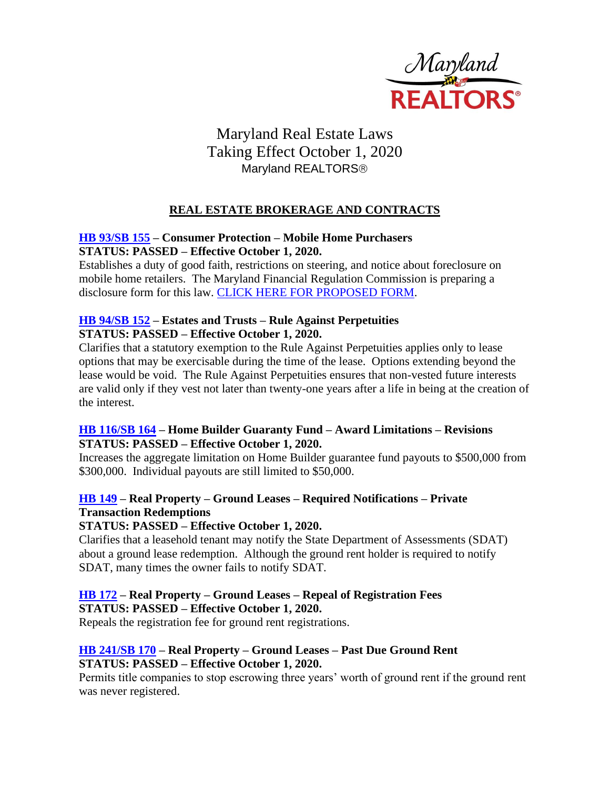

# Maryland Real Estate Laws Taking Effect October 1, 2020 Maryland REALTORS<sup>®</sup>

## **REAL ESTATE BROKERAGE AND CONTRACTS**

#### **[HB 93/SB 155](http://mgaleg.maryland.gov/mgawebsite/Legislation/Details/hb0093) – Consumer Protection – Mobile Home Purchasers STATUS: PASSED – Effective October 1, 2020.**

Establishes a duty of good faith, restrictions on steering, and notice about foreclosure on mobile home retailers. The Maryland Financial Regulation Commission is preparing a disclosure form for this law. [CLICK HERE FOR PROPOSED FORM.](http://www.mdrealtor.org/Portals/0/adam/Blog%20App/vGhbtxvXRU2BOnv0oEL7kA/URL/MobileHomeRetailSalesDisclosure%20Statement%20-%2009.03.10.05%20(Updated%209.3.20).pdf)

#### **[HB 94/SB 152](http://mgaleg.maryland.gov/mgawebsite/Legislation/Details/hb0094) – Estates and Trusts – Rule Against Perpetuities STATUS: PASSED – Effective October 1, 2020.**

Clarifies that a statutory exemption to the Rule Against Perpetuities applies only to lease options that may be exercisable during the time of the lease. Options extending beyond the lease would be void. The Rule Against Perpetuities ensures that non-vested future interests are valid only if they vest not later than twenty-one years after a life in being at the creation of the interest.

#### **[HB 116/SB 164](http://mgaleg.maryland.gov/mgawebsite/Legislation/Details/hb0116) – Home Builder Guaranty Fund – Award Limitations – Revisions STATUS: PASSED – Effective October 1, 2020.**

Increases the aggregate limitation on Home Builder guarantee fund payouts to \$500,000 from \$300,000. Individual payouts are still limited to \$50,000.

## **[HB 149](http://mgaleg.maryland.gov/mgawebsite/Legislation/Details/hb0149) – Real Property – Ground Leases – Required Notifications – Private Transaction Redemptions**

#### **STATUS: PASSED – Effective October 1, 2020.**

Clarifies that a leasehold tenant may notify the State Department of Assessments (SDAT) about a ground lease redemption. Although the ground rent holder is required to notify SDAT, many times the owner fails to notify SDAT.

#### **[HB 172](http://mgaleg.maryland.gov/mgawebsite/Legislation/Details/hb0172) – Real Property – Ground Leases – Repeal of Registration Fees STATUS: PASSED – Effective October 1, 2020.**

Repeals the registration fee for ground rent registrations.

## **[HB 241/SB 170](http://mgaleg.maryland.gov/mgawebsite/Legislation/Details/hb0241) – Real Property – Ground Leases – Past Due Ground Rent STATUS: PASSED – Effective October 1, 2020.**

Permits title companies to stop escrowing three years' worth of ground rent if the ground rent was never registered.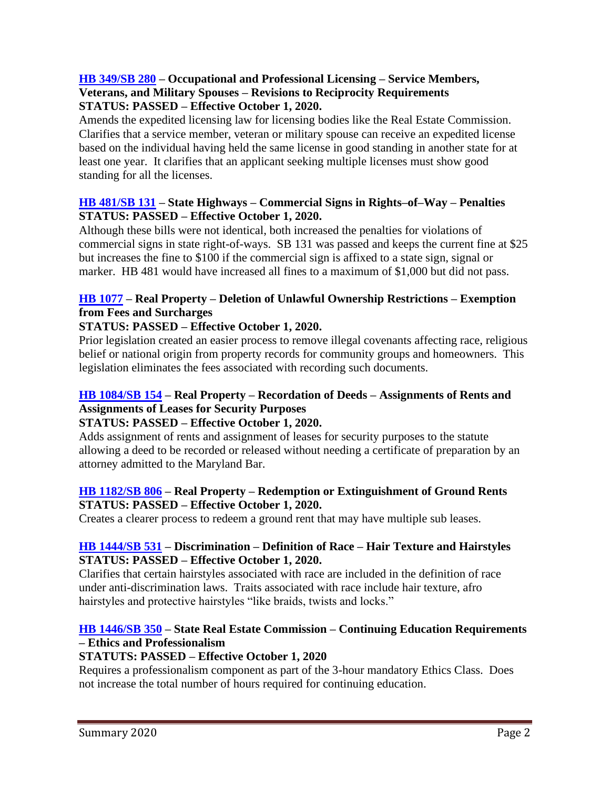#### **[HB 349/SB 280](http://mgaleg.maryland.gov/mgawebsite/Legislation/Details/hb0349) – Occupational and Professional Licensing – Service Members, Veterans, and Military Spouses – Revisions to Reciprocity Requirements STATUS: PASSED – Effective October 1, 2020.**

Amends the expedited licensing law for licensing bodies like the Real Estate Commission. Clarifies that a service member, veteran or military spouse can receive an expedited license based on the individual having held the same license in good standing in another state for at least one year. It clarifies that an applicant seeking multiple licenses must show good standing for all the licenses.

#### **[HB 481/SB 131](http://mgaleg.maryland.gov/mgawebsite/Legislation/Details/sb0131) – State Highways – Commercial Signs in Rights–of–Way – Penalties STATUS: PASSED – Effective October 1, 2020.**

Although these bills were not identical, both increased the penalties for violations of commercial signs in state right-of-ways. SB 131 was passed and keeps the current fine at \$25 but increases the fine to \$100 if the commercial sign is affixed to a state sign, signal or marker. HB 481 would have increased all fines to a maximum of \$1,000 but did not pass.

## **[HB 1077](http://mgaleg.maryland.gov/mgawebsite/Legislation/Details/hb1077) – Real Property – Deletion of Unlawful Ownership Restrictions – Exemption from Fees and Surcharges**

## **STATUS: PASSED – Effective October 1, 2020.**

Prior legislation created an easier process to remove illegal covenants affecting race, religious belief or national origin from property records for community groups and homeowners. This legislation eliminates the fees associated with recording such documents.

## **[HB 1084/SB 154](http://mgaleg.maryland.gov/mgawebsite/Legislation/Details/hb1084) – Real Property – Recordation of Deeds – Assignments of Rents and Assignments of Leases for Security Purposes**

#### **STATUS: PASSED – Effective October 1, 2020.**

Adds assignment of rents and assignment of leases for security purposes to the statute allowing a deed to be recorded or released without needing a certificate of preparation by an attorney admitted to the Maryland Bar.

## **[HB 1182/SB 806](http://mgaleg.maryland.gov/mgawebsite/Legislation/Details/hb1182) – Real Property – Redemption or Extinguishment of Ground Rents STATUS: PASSED – Effective October 1, 2020.**

Creates a clearer process to redeem a ground rent that may have multiple sub leases.

#### **[HB 1444/SB 531](http://mgaleg.maryland.gov/mgawebsite/Legislation/Details/hb1444) – Discrimination – Definition of Race – Hair Texture and Hairstyles STATUS: PASSED – Effective October 1, 2020.**

Clarifies that certain hairstyles associated with race are included in the definition of race under anti-discrimination laws. Traits associated with race include hair texture, afro hairstyles and protective hairstyles "like braids, twists and locks."

## **[HB 1446/SB 350](http://mgaleg.maryland.gov/mgawebsite/Legislation/Details/hb1446) – State Real Estate Commission – Continuing Education Requirements – Ethics and Professionalism**

## **STATUTS: PASSED – Effective October 1, 2020**

Requires a professionalism component as part of the 3-hour mandatory Ethics Class. Does not increase the total number of hours required for continuing education.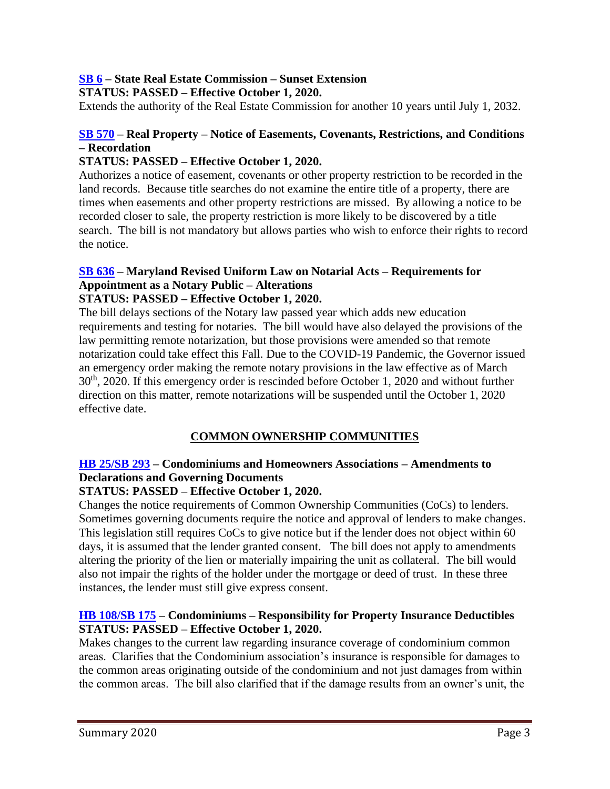# **[SB 6](http://mgaleg.maryland.gov/mgawebsite/Legislation/Details/sb0006) – State Real Estate Commission – Sunset Extension**

**STATUS: PASSED – Effective October 1, 2020.**

Extends the authority of the Real Estate Commission for another 10 years until July 1, 2032.

## **[SB 570](http://mgaleg.maryland.gov/mgawebsite/Legislation/Details/sb0570) – Real Property – Notice of Easements, Covenants, Restrictions, and Conditions – Recordation**

## **STATUS: PASSED – Effective October 1, 2020.**

Authorizes a notice of easement, covenants or other property restriction to be recorded in the land records. Because title searches do not examine the entire title of a property, there are times when easements and other property restrictions are missed. By allowing a notice to be recorded closer to sale, the property restriction is more likely to be discovered by a title search. The bill is not mandatory but allows parties who wish to enforce their rights to record the notice.

# **[SB 636](http://mgaleg.maryland.gov/mgawebsite/Legislation/Details/sb0636) – Maryland Revised Uniform Law on Notarial Acts – Requirements for Appointment as a Notary Public – Alterations**

## **STATUS: PASSED – Effective October 1, 2020.**

The bill delays sections of the Notary law passed year which adds new education requirements and testing for notaries. The bill would have also delayed the provisions of the law permitting remote notarization, but those provisions were amended so that remote notarization could take effect this Fall. Due to the COVID-19 Pandemic, the Governor issued an emergency order making the remote notary provisions in the law effective as of March 30th, 2020. If this emergency order is rescinded before October 1, 2020 and without further direction on this matter, remote notarizations will be suspended until the October 1, 2020 effective date.

## **COMMON OWNERSHIP COMMUNITIES**

## **[HB 25/SB 293](http://mgaleg.maryland.gov/mgawebsite/Legislation/Details/hb0025) – Condominiums and Homeowners Associations – Amendments to Declarations and Governing Documents**

#### **STATUS: PASSED – Effective October 1, 2020.**

Changes the notice requirements of Common Ownership Communities (CoCs) to lenders. Sometimes governing documents require the notice and approval of lenders to make changes. This legislation still requires CoCs to give notice but if the lender does not object within 60 days, it is assumed that the lender granted consent. The bill does not apply to amendments altering the priority of the lien or materially impairing the unit as collateral. The bill would also not impair the rights of the holder under the mortgage or deed of trust. In these three instances, the lender must still give express consent.

#### **[HB 108/SB 175](http://mgaleg.maryland.gov/mgawebsite/Legislation/Details/hb0108) – Condominiums – Responsibility for Property Insurance Deductibles STATUS: PASSED – Effective October 1, 2020.**

Makes changes to the current law regarding insurance coverage of condominium common areas. Clarifies that the Condominium association's insurance is responsible for damages to the common areas originating outside of the condominium and not just damages from within the common areas. The bill also clarified that if the damage results from an owner's unit, the